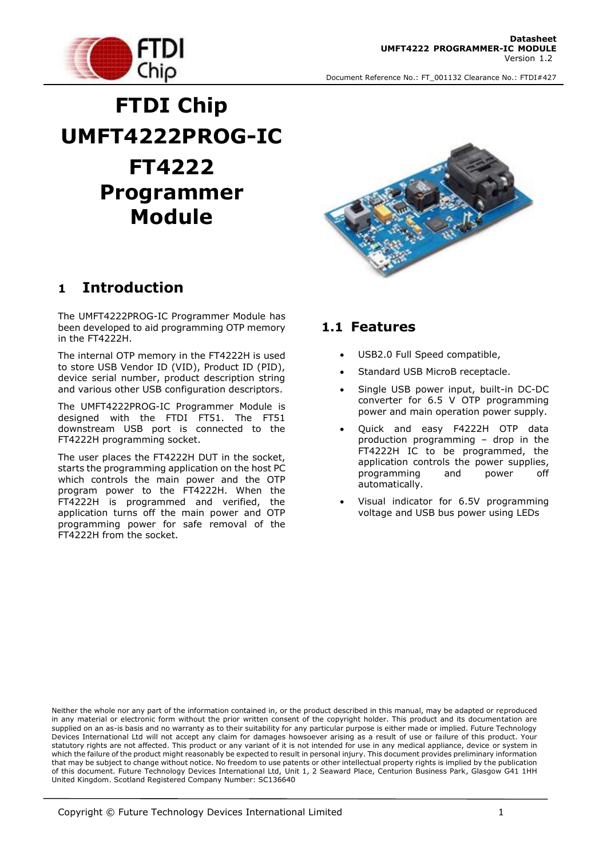

# **FTDI Chip UMFT4222PROG-IC FT4222 Programmer Module**

### **1 Introduction**

The UMFT4222PROG-IC Programmer Module has been developed to aid programming OTP memory in the FT4222H.

The internal OTP memory in the FT4222H is used to store USB Vendor ID (VID), Product ID (PID), device serial number, product description string and various other USB configuration descriptors.

The UMFT4222PROG-IC Programmer Module is designed with the FTDI FT51. The FT51 downstream USB port is connected to the FT4222H programming socket.

The user places the FT4222H DUT in the socket, starts the programming application on the host PC which controls the main power and the OTP program power to the FT4222H. When the FT4222H is programmed and verified, the application turns off the main power and OTP programming power for safe removal of the FT4222H from the socket.



#### **1.1 Features**

- USB2.0 Full Speed compatible,
- Standard USB MicroB receptacle.
- Single USB power input, built-in DC-DC converter for 6.5 V OTP programming power and main operation power supply.
- Quick and easy F4222H OTP data production programming – drop in the FT4222H IC to be programmed, the application controls the power supplies, programming and power off automatically.
- Visual indicator for 6.5V programming voltage and USB bus power using LEDs

Neither the whole nor any part of the information contained in, or the product described in this manual, may be adapted or reproduced in any material or electronic form without the prior written consent of the copyright holder. This product and its documentation are supplied on an as-is basis and no warranty as to their suitability for any particular purpose is either made or implied. Future Technology Devices International Ltd will not accept any claim for damages howsoever arising as a result of use or failure of this product. Your statutory rights are not affected. This product or any variant of it is not intended for use in any medical appliance, device or system in which the failure of the product might reasonably be expected to result in personal injury. This document provides preliminary information that may be subject to change without notice. No freedom to use patents or other intellectual property rights is implied by the publication of this document. Future Technology Devices International Ltd, Unit 1, 2 Seaward Place, Centurion Business Park, Glasgow G41 1HH United Kingdom. Scotland Registered Company Number: SC136640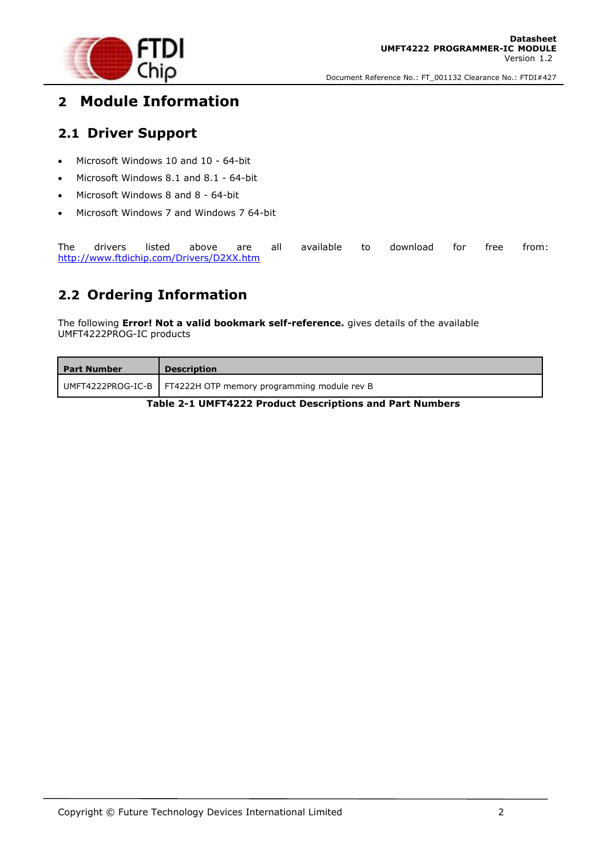

## **2 Module Information**

#### **2.1 Driver Support**

- Microsoft Windows 10 and 10 64-bit
- Microsoft Windows 8.1 and 8.1 64-bit
- Microsoft Windows 8 and 8 64-bit
- Microsoft Windows 7 and Windows 7 64-bit

The drivers listed above are all available to download for free from: <http://www.ftdichip.com/Drivers/D2XX.htm>

#### **2.2 Ordering Information**

The following **Error! Not a valid bookmark self-reference.** gives details of the available UMFT4222PROG-IC products

<span id="page-1-0"></span>

| <b>Part Number</b> | <b>Description</b>                                              |
|--------------------|-----------------------------------------------------------------|
|                    | UMFT4222PROG-IC-B   FT4222H OTP memory programming module rev B |

**Table 2-1 UMFT4222 Product Descriptions and Part Numbers**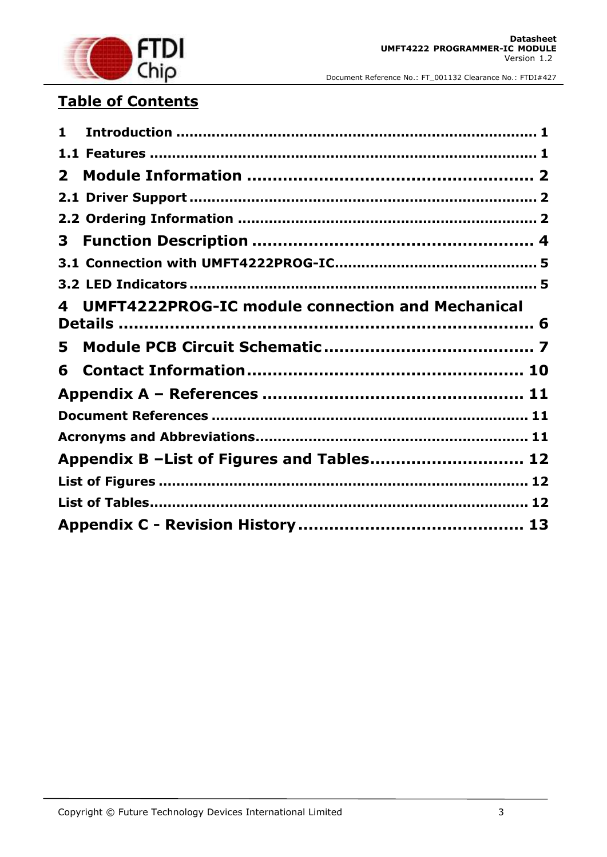

## **Table of Contents**

| 1            |                                                         |
|--------------|---------------------------------------------------------|
|              |                                                         |
| $\mathbf{2}$ |                                                         |
|              |                                                         |
|              |                                                         |
| 3            |                                                         |
|              |                                                         |
|              |                                                         |
| 4            | <b>UMFT4222PROG-IC module connection and Mechanical</b> |
| 5            |                                                         |
| 6            |                                                         |
|              |                                                         |
|              |                                                         |
|              |                                                         |
|              | Appendix B -List of Figures and Tables 12               |
|              |                                                         |
|              |                                                         |
|              |                                                         |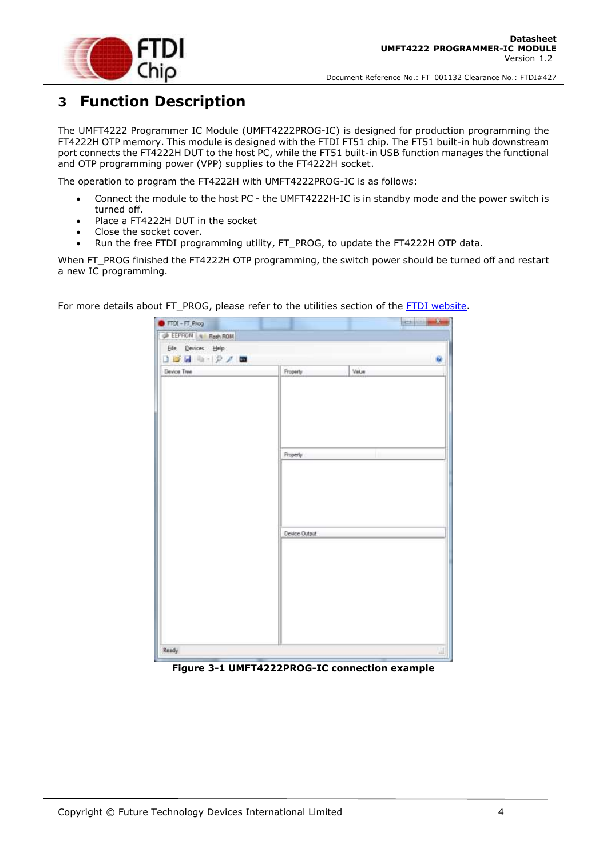

## **3 Function Description**

The UMFT4222 Programmer IC Module (UMFT4222PROG-IC) is designed for production programming the FT4222H OTP memory. This module is designed with the FTDI FT51 chip. The FT51 built-in hub downstream port connects the FT4222H DUT to the host PC, while the FT51 built-in USB function manages the functional and OTP programming power (VPP) supplies to the FT4222H socket.

The operation to program the FT4222H with UMFT4222PROG-IC is as follows:

- Connect the module to the host PC the UMFT4222H-IC is in standby mode and the power switch is turned off.
- Place a FT4222H DUT in the socket
- Close the socket cover.
- Run the free FTDI programming utility, FT\_PROG, to update the FT4222H OTP data.

When FT\_PROG finished the FT4222H OTP programming, the switch power should be turned off and restart a new IC programming.

> FTDI - FT Prog **SCALINERS** EEPROM Resh ROM Ele Devices Help  $1011117771$ ü Device Tree Value Property **Property** Device Output Ready

For more details about FT\_PROG, please refer to the utilities section of the [FTDI website.](http://www.ftdichip.com/Support/Utilities.htm)

<span id="page-3-0"></span>**Figure 3-1 UMFT4222PROG-IC connection example**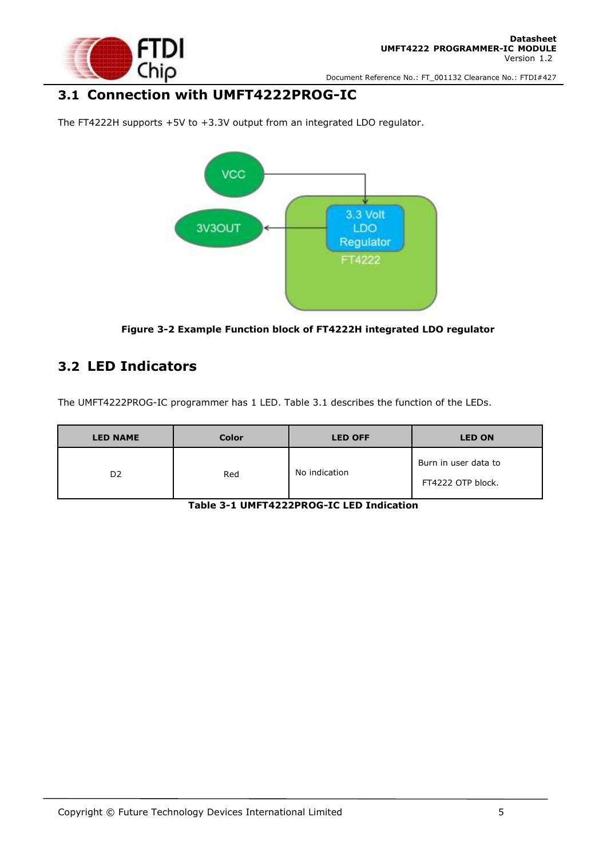

#### **3.1 Connection with UMFT4222PROG-IC**



The FT4222H supports +5V to +3.3V output from an integrated LDO regulator.

**Figure 3-2 Example Function block of FT4222H integrated LDO regulator**

#### <span id="page-4-0"></span>**3.2 LED Indicators**

The UMFT4222PROG-IC programmer has 1 LED. Table 3.1 describes the function of the LEDs.

<span id="page-4-1"></span>

| <b>LED NAME</b> | <b>Color</b> | <b>LED OFF</b> | <b>LED ON</b>                             |
|-----------------|--------------|----------------|-------------------------------------------|
| D <sub>2</sub>  | Red          | No indication  | Burn in user data to<br>FT4222 OTP block. |

**Table 3-1 UMFT4222PROG-IC LED Indication**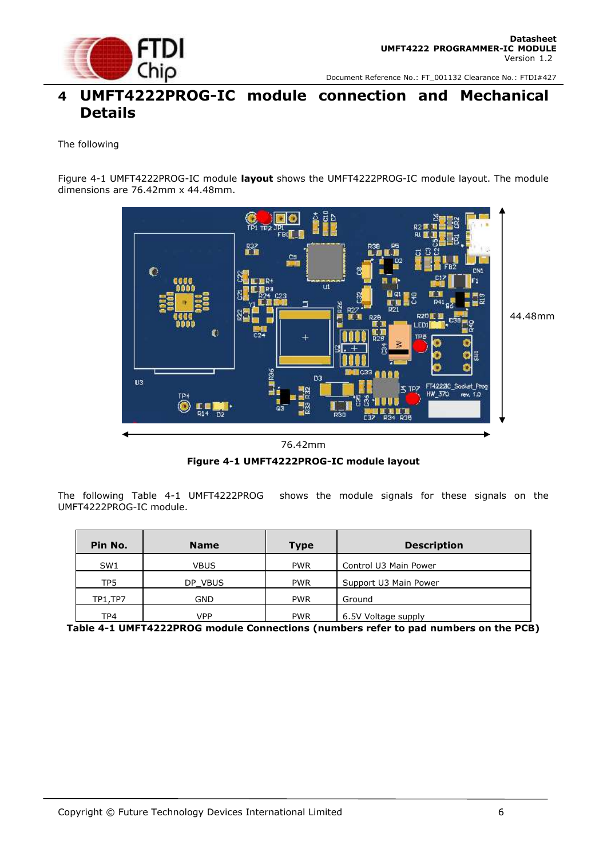

#### **4 UMFT4222PROG-IC module connection and Mechanical Details**

#### The following

Figure 4-1 [UMFT4222PROG-IC](#page-5-0) module **layout** shows the UMFT4222PROG-IC module layout. The module dimensions are 76.42mm x 44.48mm.



#### 76.42mm

**Figure 4-1 UMFT4222PROG-IC module layout**

<span id="page-5-2"></span><span id="page-5-0"></span>The following Table 4-1 [UMFT4222PROG](#page-5-1) shows the module signals for these signals on the UMFT4222PROG-IC module.

| Pin No.         | <b>Name</b> | <b>Type</b> | <b>Description</b>    |
|-----------------|-------------|-------------|-----------------------|
| SW <sub>1</sub> | VBUS        | <b>PWR</b>  | Control U3 Main Power |
| TP <sub>5</sub> | DP VBUS     | <b>PWR</b>  | Support U3 Main Power |
| <b>TP1,TP7</b>  | GND         | <b>PWR</b>  | Ground                |
| TP4             | VPP         | <b>PWR</b>  | 6.5V Voltage supply   |

<span id="page-5-1"></span>**Table 4-1 UMFT4222PROG module Connections (numbers refer to pad numbers on the PCB)**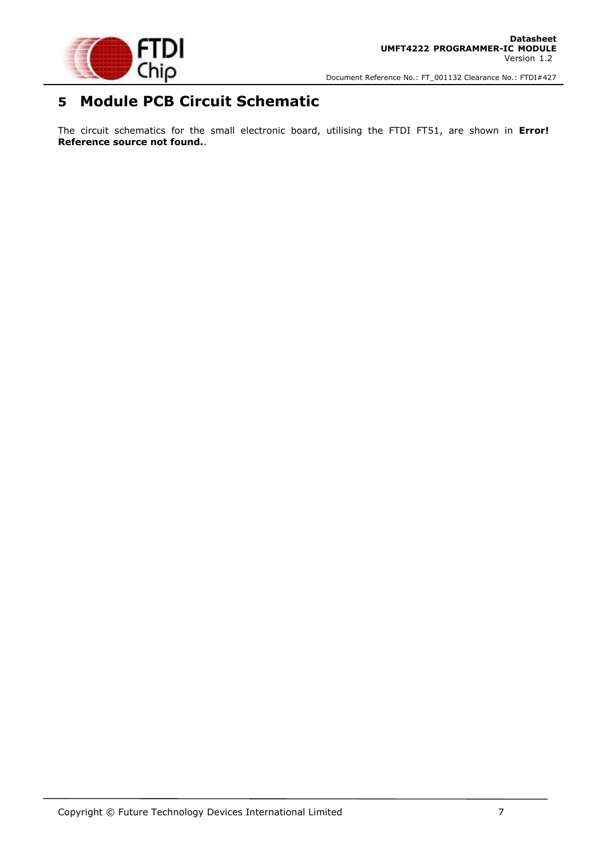

## **5 Module PCB Circuit Schematic**

The circuit schematics for the small electronic board, utilising the FTDI FT51, are shown in **Error! Reference source not found.**.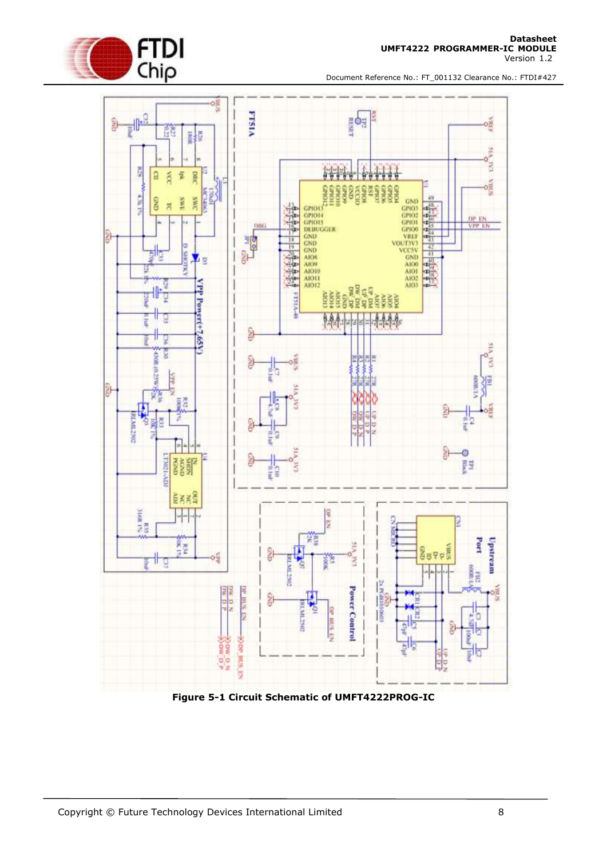





<span id="page-7-0"></span>**Figure 5-1 Circuit Schematic of UMFT4222PROG-IC**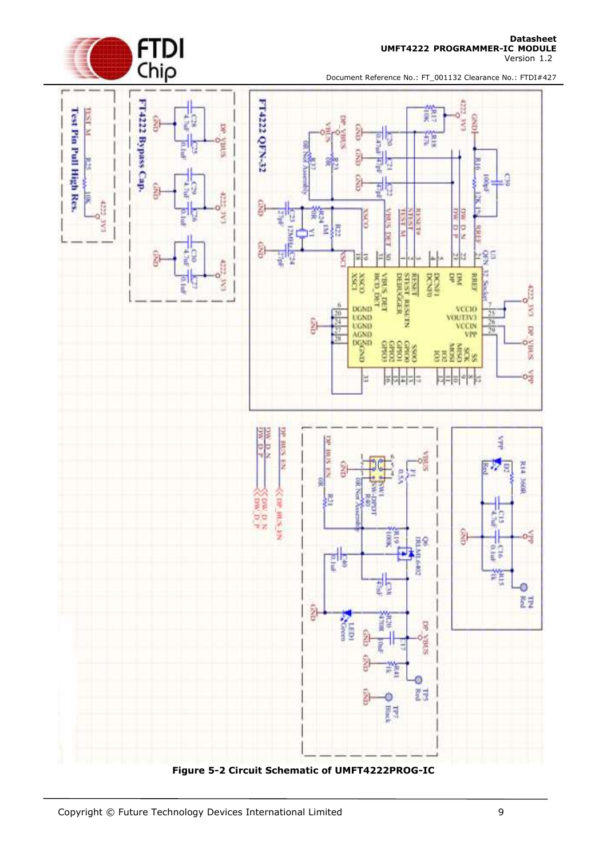

Version 1.2



Document Reference No.: FT\_001132 Clearance No.: FTDI#427



<span id="page-8-0"></span>**Figure 5-2 Circuit Schematic of UMFT4222PROG-IC**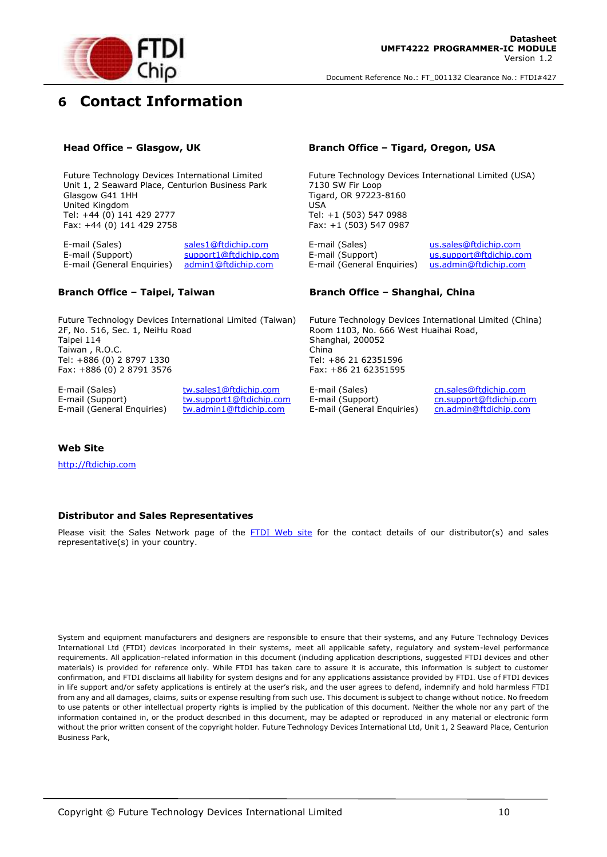

## **6 Contact Information**

Future Technology Devices International Limited Unit 1, 2 Seaward Place, Centurion Business Park Glasgow G41 1HH United Kingdom Tel: +44 (0) 141 429 2777 Fax: +44 (0) 141 429 2758

E-mail (Sales) [sales1@ftdichip.com](mailto:sales1@ftdichip.com) E-mail (Sales) [us.sales@ftdichip.com](mailto:us.sales@ftdichip.com) E-mail (Support) [support1@ftdichip.com](mailto:support1@ftdichip.com) E-mail (Support) [us.support@ftdichip.com](mailto:us.support@ftdichip.com) E-mail (General Enquiries) [admin1@ftdichip.com](mailto:admin1@ftdichip.com) E-mail (General Enquiries) [us.admin@ftdichip.com](mailto:us.admin@ftdichip.com)

#### **Head Office – Glasgow, UK Branch Office – Tigard, Oregon, USA**

Future Technology Devices International Limited (USA) 7130 SW Fir Loop Tigard, OR 97223-8160 USA Tel: +1 (503) 547 0988 Fax: +1 (503) 547 0987

#### **Branch Office – Taipei, Taiwan Branch Office – Shanghai, China**

Future Technology Devices International Limited (Taiwan) 2F, No. 516, Sec. 1, NeiHu Road Taipei 114 Taiwan , R.O.C. Tel: +886 (0) 2 8797 1330 Fax: +886 (0) 2 8791 3576

E-mail (Sales) [tw.sales1@ftdichip.com](mailto:tw.sales1@ftdichip.com) E-mail (Sales) [cn.sales@ftdichip.com](mailto:cn.sales@ftdichip.com) E-mail (Support) [tw.support1@ftdichip.com](mailto:tw.support1@ftdichip.com) E-mail (Support) [cn.support@ftdichip.com](mailto:cn.support@ftdichip.com)<br>E-mail (General Enguiries) tw.admin1@ftdichip.com E-mail (General Enguiries) cn.admin@ftdichip.com [tw.admin1@ftdichip.com](mailto:tw.admin1@ftdichip.com) E-mail (General Enquiries)

Future Technology Devices International Limited (China) Room 1103, No. 666 West Huaihai Road, Shanghai, 200052 China Tel: +86 21 62351596 Fax: +86 21 62351595

#### **Web Site**

[http://ftdichip.com](http://ftdichip.com/)

#### **Distributor and Sales Representatives**

Please visit the Sales Network page of the [FTDI Web site](http://ftdichip.com/FTSalesNetwork.htm) for the contact details of our distributor(s) and sales representative(s) in your country.

System and equipment manufacturers and designers are responsible to ensure that their systems, and any Future Technology Devices International Ltd (FTDI) devices incorporated in their systems, meet all applicable safety, regulatory and system-level performance requirements. All application-related information in this document (including application descriptions, suggested FTDI devices and other materials) is provided for reference only. While FTDI has taken care to assure it is accurate, this information is subject to customer confirmation, and FTDI disclaims all liability for system designs and for any applications assistance provided by FTDI. Use of FTDI devices in life support and/or safety applications is entirely at the user's risk, and the user agrees to defend, indemnify and hold harmless FTDI from any and all damages, claims, suits or expense resulting from such use. This document is subject to change without notice. No freedom to use patents or other intellectual property rights is implied by the publication of this document. Neither the whole nor any part of the information contained in, or the product described in this document, may be adapted or reproduced in any material or electronic form without the prior written consent of the copyright holder. Future Technology Devices International Ltd, Unit 1, 2 Seaward Place, Centurion Business Park,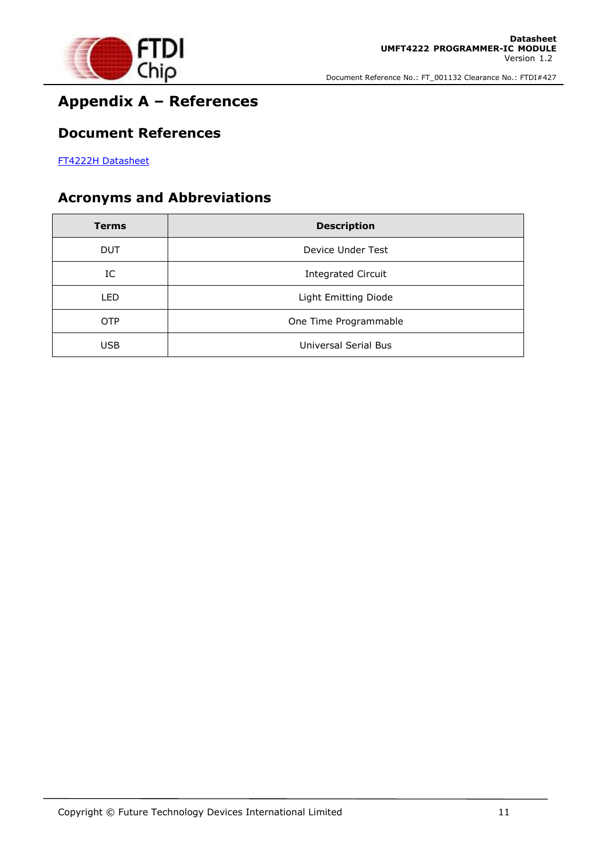

# **Appendix A – References**

#### **Document References**

[FT4222H Datasheet](http://www.ftdichip.com/Support/Documents/DataSheets/ICs/DS_FT4222H.pdf)

## **Acronyms and Abbreviations**

| <b>Terms</b> | <b>Description</b>        |
|--------------|---------------------------|
| <b>DUT</b>   | Device Under Test         |
| IC           | <b>Integrated Circuit</b> |
| LED          | Light Emitting Diode      |
| <b>OTP</b>   | One Time Programmable     |
| <b>USB</b>   | Universal Serial Bus      |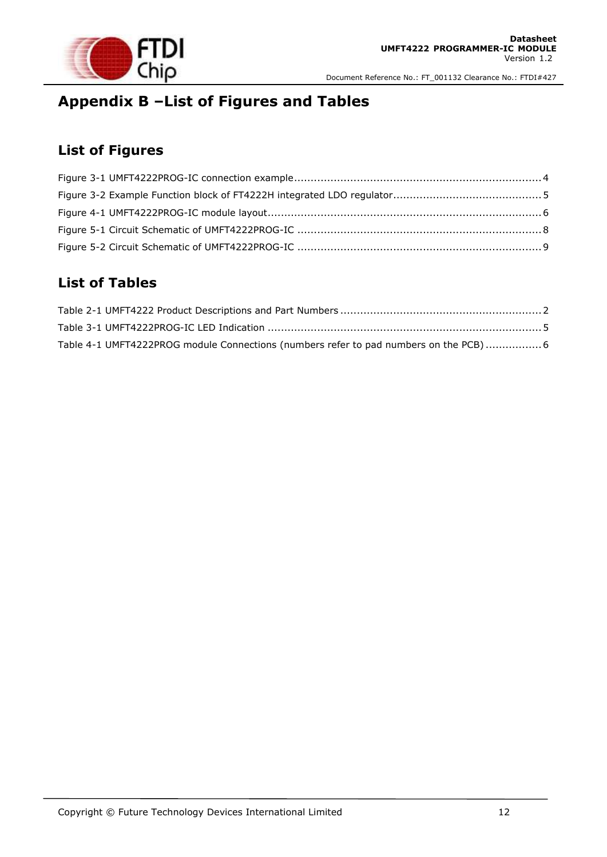

# **Appendix B –List of Figures and Tables**

### **List of Figures**

## **List of Tables**

| Table 4-1 UMFT4222PROG module Connections (numbers refer to pad numbers on the PCB)6 |  |
|--------------------------------------------------------------------------------------|--|